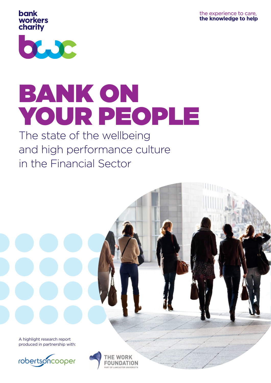bank workers charity



# bank on your people

The state of the wellbeing and high performance culture in the Financial Sector

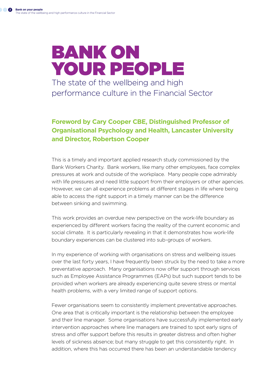## bank on your people The state of the wellbeing and high performance culture in the Financial Sector

## **Foreword by Cary Cooper CBE, Distinguished Professor of Organisational Psychology and Health, Lancaster University and Director, Robertson Cooper**

This is a timely and important applied research study commissioned by the Bank Workers Charity. Bank workers, like many other employees, face complex pressures at work and outside of the workplace. Many people cope admirably with life pressures and need little support from their employers or other agencies. However, we can all experience problems at different stages in life where being able to access the right support in a timely manner can be the difference between sinking and swimming.

This work provides an overdue new perspective on the work-life boundary as experienced by different workers facing the reality of the current economic and social climate. It is particularly revealing in that it demonstrates how work-life boundary experiences can be clustered into sub-groups of workers.

In my experience of working with organisations on stress and wellbeing issues over the last forty years, I have frequently been struck by the need to take a more preventative approach. Many organisations now offer support through services such as Employee Assistance Programmes (EAPs) but such support tends to be provided when workers are already experiencing quite severe stress or mental health problems, with a very limited range of support options.

Fewer organisations seem to consistently implement preventative approaches. One area that is critically important is the relationship between the employee and their line manager. Some organisations have successfully implemented early intervention approaches where line managers are trained to spot early signs of stress and offer support before this results in greater distress and often higher levels of sickness absence; but many struggle to get this consistently right. In addition, where this has occurred there has been an understandable tendency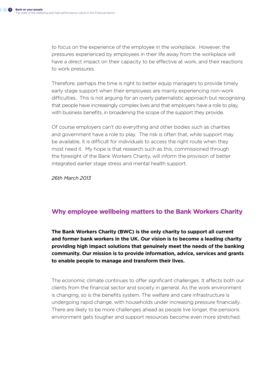to focus on the experience of the employee in the workplace. However, the pressures experienced by employees in their life away from the workplace will have a direct impact on their capacity to be effective at work, and their reactions to work pressures.

Therefore, perhaps the time is right to better equip managers to provide timely early stage support when their employees are mainly experiencing non-work difficulties. This is not arguing for an overly paternalistic approach but recognising that people have increasingly complex lives and that employers have a role to play, with business benefits, in broadening the scope of the support they provide.

Of course employers can't do everything and other bodies such as charities and government have a role to play. The risk is often that, while support may be available, it is difficult for individuals to access the right route when they most need it. My hope is that research such as this, commissioned through the foresight of the Bank Workers Charity, will inform the provision of better integrated earlier stage stress and mental health support.

*26th March 2013*

#### **Why employee wellbeing matters to the Bank Workers Charity**

**The Bank Workers Charity (BWC) is the only charity to support all current and former bank workers in the UK. Our vision is to become a leading charity providing high impact solutions that genuinely meet the needs of the banking community. Our mission is to provide information, advice, services and grants to enable people to manage and transform their lives.** 

The economic climate continues to offer significant challenges. It affects both our clients from the financial sector and society in general. As the work environment is changing, so is the benefits system. The welfare and care infrastructure is undergoing rapid change, with households under increasing pressure financially. There are likely to be more challenges ahead as people live longer, the pensions environment gets tougher and support resources become even more stretched.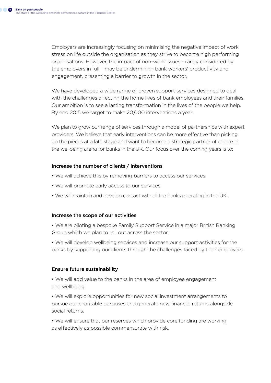Employers are increasingly focusing on minimising the negative impact of work stress on life outside the organisation as they strive to become high performing organisations. However, the impact of non-work issues - rarely considered by the employers in full – may be undermining bank workers' productivity and engagement, presenting a barrier to growth in the sector.

We have developed a wide range of proven support services designed to deal with the challenges affecting the home lives of bank employees and their families. Our ambition is to see a lasting transformation in the lives of the people we help. By end 2015 we target to make 20,000 interventions a year.

We plan to grow our range of services through a model of partnerships with expert providers. We believe that early interventions can be more effective than picking up the pieces at a late stage and want to become a strategic partner of choice in the wellbeing arena for banks in the UK. Our focus over the coming years is to:

#### Increase the number of clients / interventions

- We will achieve this by removing barriers to access our services.
- We will promote early access to our services.
- We will maintain and develop contact with all the banks operating in the UK.

#### Increase the scope of our activities

• We are piloting a bespoke Family Support Service in a major British Banking Group which we plan to roll out across the sector.

• We will develop wellbeing services and increase our support activities for the banks by supporting our clients through the challenges faced by their employers.

#### Ensure future sustainability

• We will add value to the banks in the area of employee engagement and wellbeing.

• We will explore opportunities for new social investment arrangements to pursue our charitable purposes and generate new financial returns alongside social returns.

• We will ensure that our reserves which provide core funding are working as effectively as possible commensurate with risk.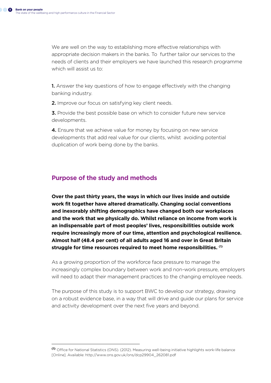We are well on the way to establishing more effective relationships with appropriate decision makers in the banks. To further tailor our services to the needs of clients and their employers we have launched this research programme which will assist us to:

1. Answer the key questions of how to engage effectively with the changing banking industry.

2. Improve our focus on satisfying key client needs.

**3.** Provide the best possible base on which to consider future new service developments.

4. Ensure that we achieve value for money by focusing on new service developments that add real value for our clients, whilst avoiding potential duplication of work being done by the banks.

#### **Purpose of the study and methods**

**Over the past thirty years, the ways in which our lives inside and outside work fit together have altered dramatically. Changing social conventions and inexorably shifting demographics have changed both our workplaces and the work that we physically do. Whilst reliance on income from work is an indispensable part of most peoples' lives, responsibilities outside work require increasingly more of our time, attention and psychological resilience. Almost half (48.4 per cent) of all adults aged 16 and over in Great Britain struggle for time resources required to meet home responsibilities. (1)**

As a growing proportion of the workforce face pressure to manage the increasingly complex boundary between work and non-work pressure, employers will need to adapt their management practices to the changing employee needs.

The purpose of this study is to support BWC to develop our strategy, drawing on a robust evidence base, in a way that will drive and guide our plans for service and activity development over the next five years and beyond.

**<sup>(1)</sup>** Office for National Statistics (ONS). (2012). Measuring well-being initiative highlights work-life balance [Online]. Available: http://www.ons.gov.uk/ons/dcp29904\_262081.pdf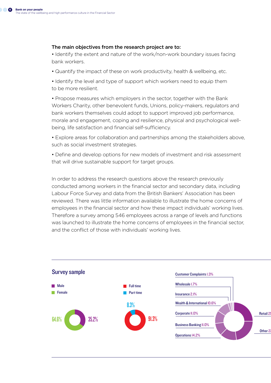#### The main objectives from the research project are to:

• Identify the extent and nature of the work/non-work boundary issues facing bank workers.

• Quantify the impact of these on work productivity, health & wellbeing, etc.

• Identify the level and type of support which workers need to equip them to be more resilient.

• Propose measures which employers in the sector, together with the Bank Workers Charity, other benevolent funds, Unions, policy-makers, regulators and bank workers themselves could adopt to support improved job performance, morale and engagement, coping and resilience, physical and psychological wellbeing, life satisfaction and financial self-sufficiency.

- Explore areas for collaboration and partnerships among the stakeholders above, such as social investment strategies.
- Define and develop options for new models of investment and risk assessment that will drive sustainable support for target groups.

In order to address the research questions above the research previously conducted among workers in the financial sector and secondary data, including Labour Force Survey and data from the British Bankers' Association has been reviewed. There was little information available to illustrate the home concerns of employees in the financial sector and how these impact individuals' working lives. Therefore a survey among 546 employees across a range of levels and functions was launched to illustrate the home concerns of employees in the financial sector, and the conflict of those with individuals' working lives.

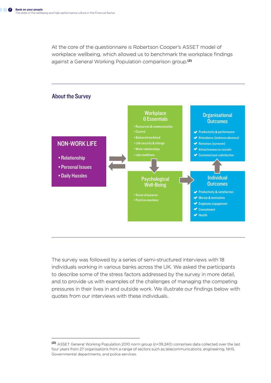At the core of the questionnaire is Robertson Cooper's ASSET model of workplace wellbeing, which allowed us to benchmark the workplace findings against a General Working Population comparison group.**(2)**



The survey was followed by a series of semi-structured interviews with 18 individuals working in various banks across the UK. We asked the participants to describe some of the stress factors addressed by the survey in more detail, and to provide us with examples of the challenges of managing the competing pressures in their lives in and outside work. We illustrate our findings below with quotes from our interviews with these individuals.

**<sup>(2)</sup>** ASSET General Working Population 2010 norm group (n=39,240) comprises data collected over the last four years from 27 organisations from a range of sectors such as telecommunications, engineering, NHS, Governmental departments, and police services.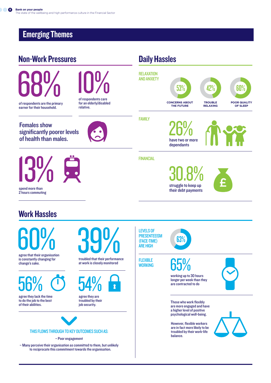## Emerging Themes

#### Non-Work Pressures Work Hassles Daily Hassles **RELAXATION** and anxiety **FLEXIBLE WORKING** family **FINANCIAL** Levels of **PRESENTEEISM** (face-time) **ARE HIGH concerns about the future** Those who work flexibly are more engaged and have **trouble relaxing poor quality of sleep 53%** 42% 60% working up to 30 hours longer per week than they are contracted to do 65% agree that their organisation is constantly changing for change's sake. of respondents care for an elderly/disabled relative. 60% 10% troubled that their performance at work is closely monitored of respondents are the primary earner for their household. spend more than 2 hours commuting **30%** 68% **13%** agree they lack the time to do the job to the best of their abilities. 56% Females show significantly poorer levels of health than males. 63% agree they are troubled by their job security. 54% struggle to keep up their debt payments have two or more dependants 30.8% 26% £

a higher level of positive psychological well-being.

However, flexible workers are in fact more likely to be troubled by their work-life

balance.



This flows through to key outcomes such as:

– Poor engagement

– Many perceive their organisation as committed to them, but unlikely to reciprocate this commitment towards the organisation.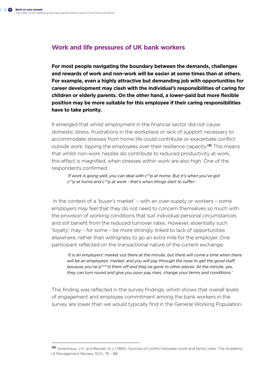#### **Work and life pressures of UK bank workers**

**For most people navigating the boundary between the demands, challenges and rewards of work and non-work will be easier at some times than at others. For example, even a highly attractive but demanding job with opportunities for career development may clash with the individual's responsibilities of caring for children or elderly parents. On the other hand, a lower-paid but more flexible position may be more suitable for this employee if their caring responsibilities have to take priority.** 

It emerged that whilst employment in the financial sector did not cause domestic stress, frustrations in the workplace or lack of support necessary to accommodate stresses from home life could contribute or exacerbate conflict outside work, tipping the employees over their resilience capacity.**(3)** This means that whilst non-work hassles do contribute to reduced productivity at work, this effect is magnified, when stresses within work are also high. One of the respondents confirmed:

*'If work is going well, you can deal with c\*\*p at home. But it's when you've got c\*\*p at home and c\*\*p at work - that's when things start to suffer.'*

 In the context of a 'buyer's market' – with an over-supply or workers – some employers may feel that they do not need to concern themselves so much with the provision of working conditions that suit individual personal circumstances and still benefit from the reduced turnover rates. However, essentially such 'loyalty' may – for some – be more strongly linked to lack of opportunities elsewhere, rather than willingness to go an extra mile for the employer. One participant reflected on the transactional nature of the current exchange:

*'It is an employers' market out there at the minute, but there will come a time when there will be an employees' market, and you will pay through the nose to get the good staff, because you've p\*\*\*\*d them off and they've gone to other places. At the minute, yes, they can turn round and give you poor pay rises, change your terms and conditions.'*

This finding was reflected in the survey findings, which shows that overall levels of engagement and employee commitment among the bank workers in the survey are lower than we would typically find in the General Working Population.

**<sup>(3)</sup>** Greenhaus, J.H. and Beutell, N.J. (1985). Sources of conflict between work and family roles. The Academy of Management Review, 10(1), 76 – 88.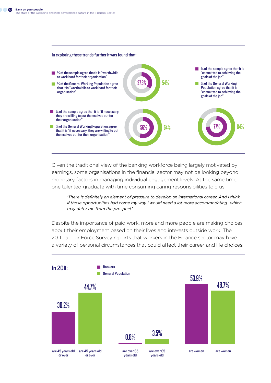



Given the traditional view of the banking workforce being largely motivated by earnings, some organisations in the financial sector may not be looking beyond monetary factors in managing individual engagement levels. At the same time, one talented graduate with time consuming caring responsibilities told us:

*'There is definitely an element of pressure to develop an international career. And I think if those opportunities had come my way I would need a lot more accommodating…which may deter me from the prospect'.* 

Despite the importance of paid work, more and more people are making choices about their employment based on their lives and interests outside work. The 2011 Labour Force Survey reports that workers in the Finance sector may have a variety of personal circumstances that could affect their career and life choices:

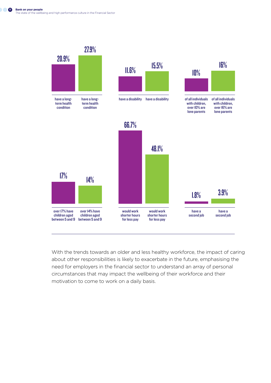

With the trends towards an older and less healthy workforce, the impact of caring about other responsibilities is likely to exacerbate in the future, emphasising the need for employers in the financial sector to understand an array of personal circumstances that may impact the wellbeing of their workforce and their motivation to come to work on a daily basis.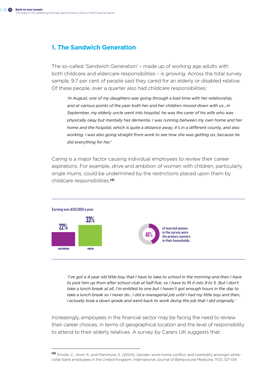#### **1. The Sandwich Generation**

The so-called 'Sandwich Generation' – made up of working age adults with both childcare and eldercare responsibilities – is growing. Across the total survey sample, 9.7 per cent of people said they cared for an elderly or disabled relative. Of these people, over a quarter also had childcare responsibilities:

*'In August, one of my daughters was going through a bad time with her relationship, and at various points of the year both her and her children moved down with us…In September, my elderly uncle went into hospital, he was the carer of his wife who was physically okay but mentally has dementia. I was running between my own home and her home and the hospital, which is quite a distance away, it's in a different county, and also working. I was also going straight from work to see how she was getting on, because he did everything for her.'*

Caring is a major factor causing individual employees to review their career aspirations. For example, drive and ambition of women with children, particularly single mums, could be undermined by the restrictions placed upon them by childcare responsibilities.**(4)**



*'I've got a 4 year old little boy that I have to take to school in the morning and then I have to pick him up from after school club at half five, so I have to fit it into 9 to 5. But I don't take a lunch break at all, I'm entitled to one but I haven't got enough hours in the day to take a lunch break so I never do…I did a managerial job until I had my little boy and then, I actually took a down grade and went back to work doing the job that I did originally.'*

Increasingly, employees in the financial sector may be facing the need to review their career choices, in terms of geographical location and the level of responsibility to attend to their elderly relatives. A survey by Carers UK suggests that:

**<sup>(4)</sup>** Emslie, C., Hunt, K. and Manintyre, S. (2004). Gender, work-home conflict, and morbidity amongst whitecollar bank employees in the United Kingdom. International Journal of Behavioural Medicine. 11(3), 127-134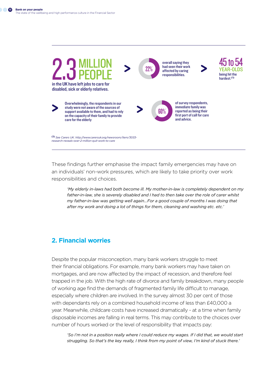

These findings further emphasise the impact family emergencies may have on an individuals' non-work pressures, which are likely to take priority over work responsibilities and choices.

*'My elderly in-laws had both become ill. My mother-in-law is completely dependent on my*  father-in-law, she is severely disabled and I had to then take over the role of carer whilst *my father-in-law was getting well again…For a good couple of months I was doing that after my work and doing a lot of things for them, cleaning and washing etc. etc.'*

#### **2. Financial worries**

Despite the popular misconception, many bank workers struggle to meet their financial obligations. For example, many bank workers may have taken on mortgages, and are now affected by the impact of recession, and therefore feel trapped in the job. With the high rate of divorce and family breakdown, many people of working age find the demands of fragmented family life difficult to manage, especially where children are involved. In the survey almost 30 per cent of those with dependants rely on a combined household income of less than £40,000 a year. Meanwhile, childcare costs have increased dramatically - at a time when family disposable incomes are falling in real terms. This may contribute to the choices over number of hours worked or the level of responsibility that impacts pay:

'So I'm not in a position really where I could reduce my wages. If I did that, we would start *struggling. So that's the key really, I think from my point of view, I'm kind of stuck there.'*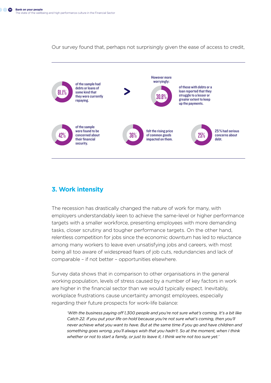Our survey found that, perhaps not surprisingly given the ease of access to credit,



#### **3. Work intensity**

The recession has drastically changed the nature of work for many, with employers understandably keen to achieve the same-level or higher performance targets with a smaller workforce, presenting employees with more demanding tasks, closer scrutiny and tougher performance targets. On the other hand, relentless competition for jobs since the economic downturn has led to reluctance among many workers to leave even unsatisfying jobs and careers, with most being all too aware of widespread fears of job cuts, redundancies and lack of comparable – if not better – opportunities elsewhere.

Survey data shows that in comparison to other organisations in the general working population, levels of stress caused by a number of key factors in work are higher in the financial sector than we would typically expect. Inevitably, workplace frustrations cause uncertainty amongst employees, especially regarding their future prospects for work-life balance:

*'With the business paying off 1,300 people and you're not sure what's coming. It's a bit like Catch 22. If you put your life on hold because you're not sure what's coming, then you'll never achieve what you want to have. But at the same time if you go and have children and something goes wrong, you'll always wish that you hadn't. So at the moment, when I think whether or not to start a family, or just to leave it, I think we're not too sure yet.'*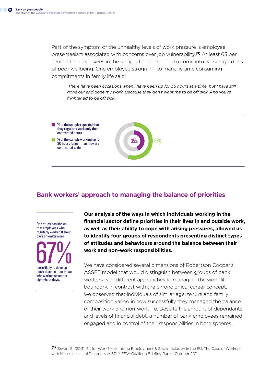Part of the symptom of the unhealthy levels of work pressure is employee presenteeism associated with concerns over job vulnerability.**(5)** At least 63 per cent of the employees in the sample felt compelled to come into work regardless of poor wellbeing. One employee struggling to manage time consuming commitments in family life said:

*'There have been occasions when I have been up for 36 hours at a time, but I have still gone out and done my work. Because they don't want me to be off sick. And you're frightened to be off sick.*

35% 65%

- % of the sample reported that they regularly work only their contracted hours
- **8**% of the sample working up to 30 hours longer than they are contracted to do

#### **Bank workers' approach to managing the balance of priorities**

One study has shown that employees who regularly worked 11-hour days or longer were

more likely to develop heart disease than those who worked seven- or eight-hour days.  $67\%$ 

**Our analysis of the ways in which individuals working in the financial sector define priorities in their lives in and outside work, as well as their ability to cope with arising pressures, allowed us to identify four groups of respondents presenting distinct types of attitudes and behaviours around the balance between their work and non-work responsibilities.** 

We have considered several dimensions of Robertson Cooper's ASSET model that would distinguish between groups of bank workers with different approaches to managing the work-life boundary. In contrast with the chronological career concept, we observed that individuals of similar age, tenure and family composition varied in how successfully they managed the balance of their work and non-work life. Despite the amount of dependants and levels of financial debt, a number of bank employees remained engaged and in control of their responsibilities in both spheres.

**<sup>(5)</sup>** Bevan, S. (2011). Fit for Work? Maximising Employment & Social Inclusion in the EU. The Case of Workers with Musculoskeletal Disorders (MSDs). FFW Coalition Briefing Paper. October 2011.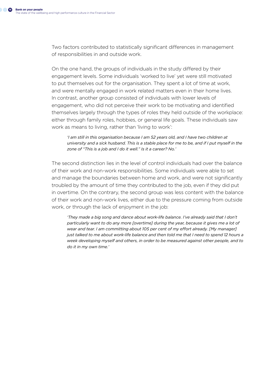Two factors contributed to statistically significant differences in management of responsibilities in and outside work.

On the one hand, the groups of individuals in the study differed by their engagement levels. Some individuals 'worked to live' yet were still motivated to put themselves out for the organisation. They spent a lot of time at work, and were mentally engaged in work related matters even in their home lives. In contrast, another group consisted of individuals with lower levels of engagement, who did not perceive their work to be motivating and identified themselves largely through the types of roles they held outside of the workplace: either through family roles, hobbies, or general life goals. These individuals saw work as means to living, rather than 'living to work':

*'I am still in this organisation because I am 52 years old, and I have two children at university and a sick husband. This is a stable place for me to be, and if I put myself in the zone of "This is a job and I do it well." Is it a career? No.'*

The second distinction lies in the level of control individuals had over the balance of their work and non-work responsibilities. Some individuals were able to set and manage the boundaries between home and work, and were not significantly troubled by the amount of time they contributed to the job, even if they did put in overtime. On the contrary, the second group was less content with the balance of their work and non-work lives, either due to the pressure coming from outside work, or through the lack of enjoyment in the job:

*'They made a big song and dance about work-life balance. I've already said that I don't particularly want to do any more [overtime] during the year, because it gives me a lot of wear and tear. I am committing about 105 per cent of my effort already. [My manager]*  just talked to me about work-life balance and then told me that I need to spend 12 hours a *week developing myself and others, in order to be measured against other people, and to do it in my own time.'*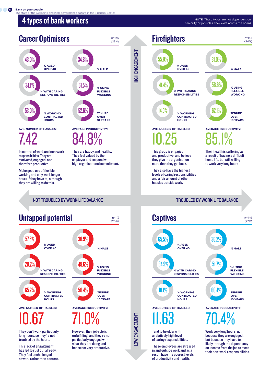#### The state of the wellbeing and high performance culture in the Financial Sector

## **4 types of bank workers NOTE:** These types are not dependent on **A**



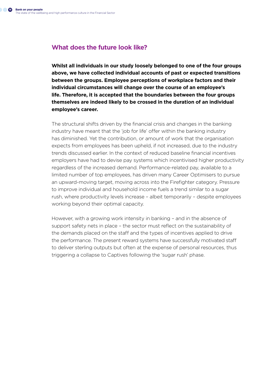### **What does the future look like?**

**Whilst all individuals in our study loosely belonged to one of the four groups above, we have collected individual accounts of past or expected transitions between the groups. Employee perceptions of workplace factors and their individual circumstances will change over the course of an employee's life. Therefore, it is accepted that the boundaries between the four groups themselves are indeed likely to be crossed in the duration of an individual employee's career.** 

The structural shifts driven by the financial crisis and changes in the banking industry have meant that the 'job for life' offer within the banking industry has diminished. Yet the contribution, or amount of work that the organisation expects from employees has been upheld, if not increased, due to the industry trends discussed earlier. In the context of reduced baseline financial incentives employers have had to devise pay systems which incentivised higher productivity regardless of the increased demand. Performance-related pay, available to a limited number of top employees, has driven many Career Optimisers to pursue an upward-moving target, moving across into the Firefighter category. Pressure to improve individual and household income fuels a trend similar to a sugar rush, where productivity levels increase – albeit temporarily – despite employees working beyond their optimal capacity.

However, with a growing work intensity in banking – and in the absence of support safety nets in place – the sector must reflect on the sustainability of the demands placed on the staff and the types of incentives applied to drive the performance. The present reward systems have successfully motivated staff to deliver sterling outputs but often at the expense of personal resources, thus triggering a collapse to Captives following the 'sugar rush' phase.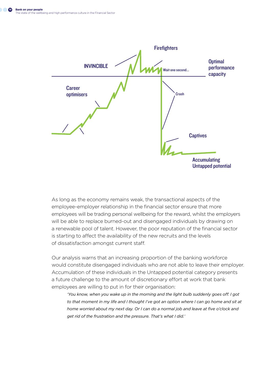

As long as the economy remains weak, the transactional aspects of the employee-employer relationship in the financial sector ensure that more employees will be trading personal wellbeing for the reward, whilst the employers will be able to replace burned-out and disengaged individuals by drawing on a renewable pool of talent. However, the poor reputation of the financial sector is starting to affect the availability of the new recruits and the levels of dissatisfaction amongst current staff.

Our analysis warns that an increasing proportion of the banking workforce would constitute disengaged individuals who are not able to leave their employer. Accumulation of these individuals in the Untapped potential category presents a future challenge to the amount of discretionary effort at work that bank employees are willing to put in for their organisation:

*'You know, when you wake up in the morning and the light bulb suddenly goes off. I got*  to that moment in my life and I thought I've got an option where I can go home and sit at *home worried about my next day. Or I can do a normal job and leave at five o'clock and get rid of the frustration and the pressure. That's what I did.'*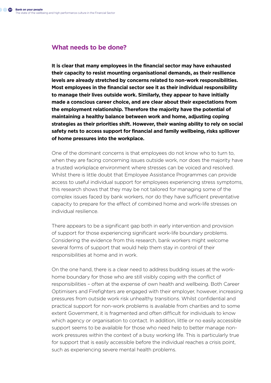#### **What needs to be done?**

**It is clear that many employees in the financial sector may have exhausted their capacity to resist mounting organisational demands, as their resilience levels are already stretched by concerns related to non-work responsibilities. Most employees in the financial sector see it as their individual responsibility to manage their lives outside work. Similarly, they appear to have initially made a conscious career choice, and are clear about their expectations from the employment relationship. Therefore the majority have the potential of maintaining a healthy balance between work and home, adjusting coping strategies as their priorities shift. However, their waning ability to rely on social safety nets to access support for financial and family wellbeing, risks spillover of home pressures into the workplace.**

One of the dominant concerns is that employees do not know who to turn to, when they are facing concerning issues outside work, nor does the majority have a trusted workplace environment where stresses can be voiced and resolved. Whilst there is little doubt that Employee Assistance Programmes can provide access to useful individual support for employees experiencing stress symptoms, this research shows that they may be not tailored for managing some of the complex issues faced by bank workers, nor do they have sufficient preventative capacity to prepare for the effect of combined home and work-life stresses on individual resilience.

There appears to be a significant gap both in early intervention and provision of support for those experiencing significant work-life boundary problems. Considering the evidence from this research, bank workers might welcome several forms of support that would help them stay in control of their responsibilities at home and in work.

On the one hand, there is a clear need to address budding issues at the workhome boundary for those who are still visibly coping with the conflict of responsibilities – often at the expense of own health and wellbeing. Both Career Optimisers and Firefighters are engaged with their employer, however, increasing pressures from outside work risk unhealthy transitions. Whilst confidential and practical support for non-work problems is available from charities and to some extent Government, it is fragmented and often difficult for individuals to know which agency or organisation to contact. In addition, little or no easily accessible support seems to be available for those who need help to better manage nonwork pressures within the context of a busy working life. This is particularly true for support that is easily accessible before the individual reaches a crisis point, such as experiencing severe mental health problems.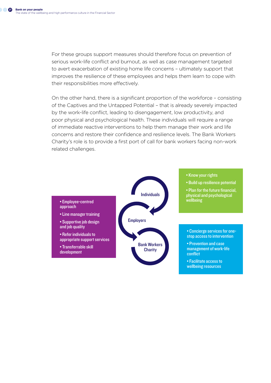For these groups support measures should therefore focus on prevention of serious work-life conflict and burnout, as well as case management targeted to avert exacerbation of existing home life concerns – ultimately support that improves the resilience of these employees and helps them learn to cope with their responsibilities more effectively.

On the other hand, there is a significant proportion of the workforce – consisting of the Captives and the Untapped Potential – that is already severely impacted by the work-life conflict, leading to disengagement, low productivity, and poor physical and psychological health. These individuals will require a range of immediate reactive interventions to help them manage their work and life concerns and restore their confidence and resilience levels. The Bank Workers Charity's role is to provide a first port of call for bank workers facing non-work related challenges.

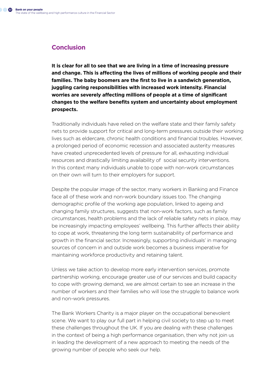#### **Conclusion**

**It is clear for all to see that we are living in a time of increasing pressure and change. This is affecting the lives of millions of working people and their families. The baby boomers are the first to live in a sandwich generation, juggling caring responsibilities with increased work intensity. Financial worries are severely affecting millions of people at a time of significant changes to the welfare benefits system and uncertainty about employment prospects.**

Traditionally individuals have relied on the welfare state and their family safety nets to provide support for critical and long-term pressures outside their working lives such as eldercare, chronic health conditions and financial troubles. However, a prolonged period of economic recession and associated austerity measures have created unprecedented levels of pressure for all, exhausting individual resources and drastically limiting availability of social security interventions. In this context many individuals unable to cope with non-work circumstances on their own will turn to their employers for support.

Despite the popular image of the sector, many workers in Banking and Finance face all of these work and non-work boundary issues too. The changing demographic profile of the working age population, linked to ageing and changing family structures, suggests that non-work factors, such as family circumstances, health problems and the lack of reliable safety nets in place, may be increasingly impacting employees' wellbeing. This further affects their ability to cope at work, threatening the long term sustainability of performance and growth in the financial sector. Increasingly, supporting individuals' in managing sources of concern in and outside work becomes a business imperative for maintaining workforce productivity and retaining talent.

Unless we take action to develop more early intervention services, promote partnership working, encourage greater use of our services and build capacity to cope with growing demand, we are almost certain to see an increase in the number of workers and their families who will lose the struggle to balance work and non-work pressures.

The Bank Workers Charity is a major player on the occupational benevolent scene. We want to play our full part in helping civil society to step up to meet these challenges throughout the UK. If you are dealing with these challenges in the context of being a high performance organisation, then why not join us in leading the development of a new approach to meeting the needs of the growing number of people who seek our help.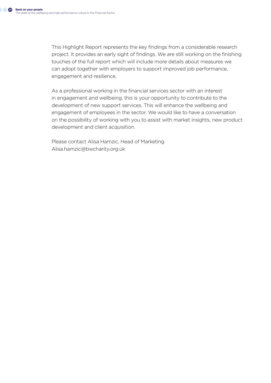This Highlight Report represents the key findings from a considerable research project. It provides an early sight of findings. We are still working on the finishing touches of the full report which will include more details about measures we can adopt together with employers to support improved job performance, engagement and resilience.

As a professional working in the financial services sector with an interest in engagement and wellbeing, this is your opportunity to contribute to the development of new support services. This will enhance the wellbeing and engagement of employees in the sector. We would like to have a conversation on the possibility of working with you to assist with market insights, new product development and client acquisition.

Please contact Alisa Hamzic, Head of Marketing Alisa.hamzic@bwcharity.org.uk